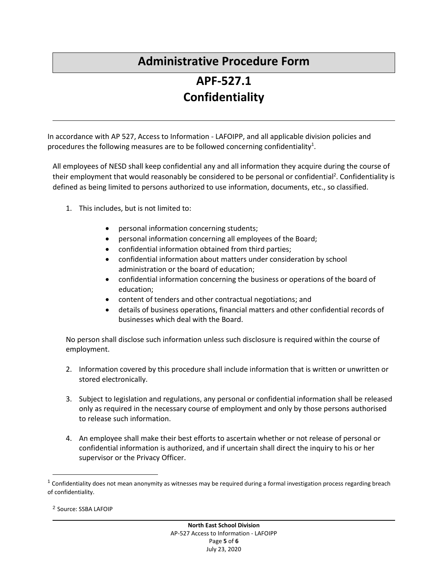## **Administrative Procedure Form**

## **APF-527.1 Confidentiality**

In accordance with AP 527, Access to Information - LAFOIPP, and all applicable division policies and procedures the following measures are to be followed concerning confidentiality<sup>1</sup>.

All employees of NESD shall keep confidential any and all information they acquire during the course of their employment that would reasonably be considered to be personal or confidential<sup>2</sup>. Confidentiality is defined as being limited to persons authorized to use information, documents, etc., so classified.

- 1. This includes, but is not limited to:
	- personal information concerning students;
	- personal information concerning all employees of the Board;
	- confidential information obtained from third parties;
	- confidential information about matters under consideration by school administration or the board of education;
	- confidential information concerning the business or operations of the board of education;
	- content of tenders and other contractual negotiations; and
	- details of business operations, financial matters and other confidential records of businesses which deal with the Board.

No person shall disclose such information unless such disclosure is required within the course of employment.

- 2. Information covered by this procedure shall include information that is written or unwritten or stored electronically.
- 3. Subject to legislation and regulations, any personal or confidential information shall be released only as required in the necessary course of employment and only by those persons authorised to release such information.
- 4. An employee shall make their best efforts to ascertain whether or not release of personal or confidential information is authorized, and if uncertain shall direct the inquiry to his or her supervisor or the Privacy Officer.

<sup>2</sup> Source: SSBA LAFOIP

 $\overline{a}$ 

 $^1$  Confidentiality does not mean anonymity as witnesses may be required during a formal investigation process regarding breach of confidentiality.